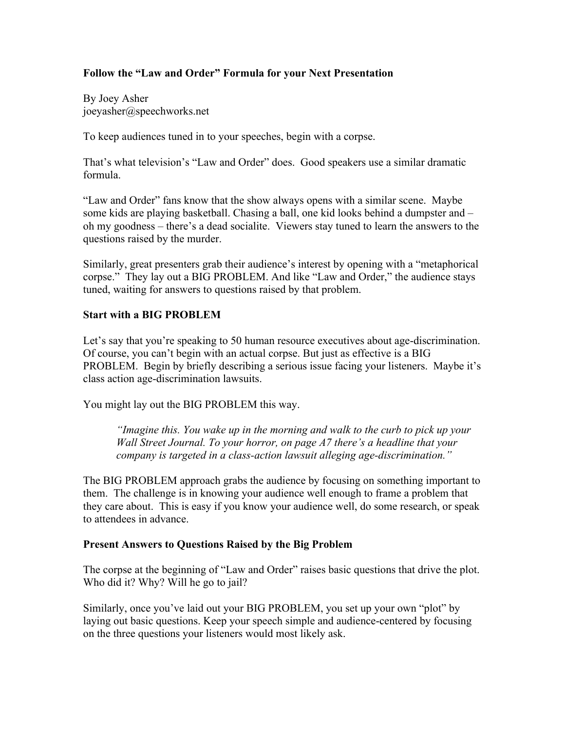## **Follow the "Law and Order" Formula for your Next Presentation**

By Joey Asher joeyasher@speechworks.net

To keep audiences tuned in to your speeches, begin with a corpse.

That's what television's "Law and Order" does. Good speakers use a similar dramatic formula.

"Law and Order" fans know that the show always opens with a similar scene. Maybe some kids are playing basketball. Chasing a ball, one kid looks behind a dumpster and – oh my goodness – there's a dead socialite. Viewers stay tuned to learn the answers to the questions raised by the murder.

Similarly, great presenters grab their audience's interest by opening with a "metaphorical corpse." They lay out a BIG PROBLEM. And like "Law and Order," the audience stays tuned, waiting for answers to questions raised by that problem.

## **Start with a BIG PROBLEM**

Let's say that you're speaking to 50 human resource executives about age-discrimination. Of course, you can't begin with an actual corpse. But just as effective is a BIG PROBLEM. Begin by briefly describing a serious issue facing your listeners. Maybe it's class action age-discrimination lawsuits.

You might lay out the BIG PROBLEM this way.

*"Imagine this. You wake up in the morning and walk to the curb to pick up your Wall Street Journal. To your horror, on page A7 there's a headline that your company is targeted in a class-action lawsuit alleging age-discrimination."*

The BIG PROBLEM approach grabs the audience by focusing on something important to them. The challenge is in knowing your audience well enough to frame a problem that they care about. This is easy if you know your audience well, do some research, or speak to attendees in advance.

## **Present Answers to Questions Raised by the Big Problem**

The corpse at the beginning of "Law and Order" raises basic questions that drive the plot. Who did it? Why? Will he go to jail?

Similarly, once you've laid out your BIG PROBLEM, you set up your own "plot" by laying out basic questions. Keep your speech simple and audience-centered by focusing on the three questions your listeners would most likely ask.